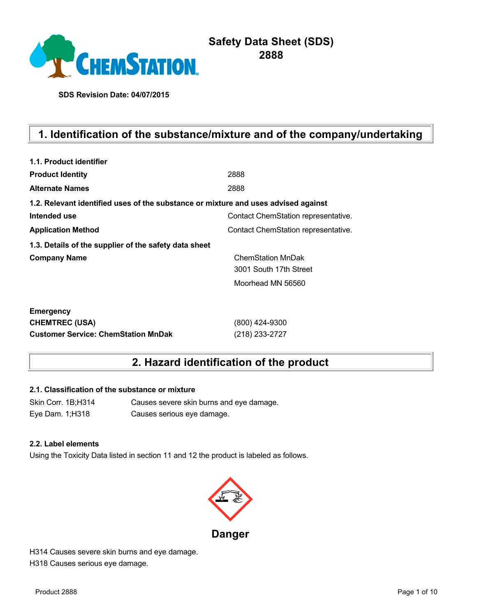

# **Safety Data Sheet (SDS) 2888**

**SDS Revision Date: 04/07/2015**

# **1. Identification of the substance/mixture and of the company/undertaking**

| 1.1. Product identifier                                                            |                                     |
|------------------------------------------------------------------------------------|-------------------------------------|
| <b>Product Identity</b>                                                            | 2888                                |
| <b>Alternate Names</b>                                                             | 2888                                |
| 1.2. Relevant identified uses of the substance or mixture and uses advised against |                                     |
| Intended use                                                                       | Contact ChemStation representative. |
| <b>Application Method</b>                                                          | Contact ChemStation representative. |
| 1.3. Details of the supplier of the safety data sheet                              |                                     |
| <b>Company Name</b>                                                                | <b>ChemStation MnDak</b>            |
|                                                                                    | 3001 South 17th Street              |
|                                                                                    | Moorhead MN 56560                   |
| <b>Emergency</b>                                                                   |                                     |
| <b>CHEMTREC (USA)</b>                                                              | (800) 424-9300                      |
| <b>Customer Service: ChemStation MnDak</b>                                         | (218) 233-2727                      |

## **2. Hazard identification of the product**

### **2.1. Classification of the substance or mixture**

Skin Corr. 1B;H314 Causes severe skin burns and eye damage. Eye Dam. 1;H318 Causes serious eye damage.

#### **2.2. Label elements**

Using the Toxicity Data listed in section 11 and 12 the product is labeled as follows.



H314 Causes severe skin burns and eye damage. H318 Causes serious eye damage.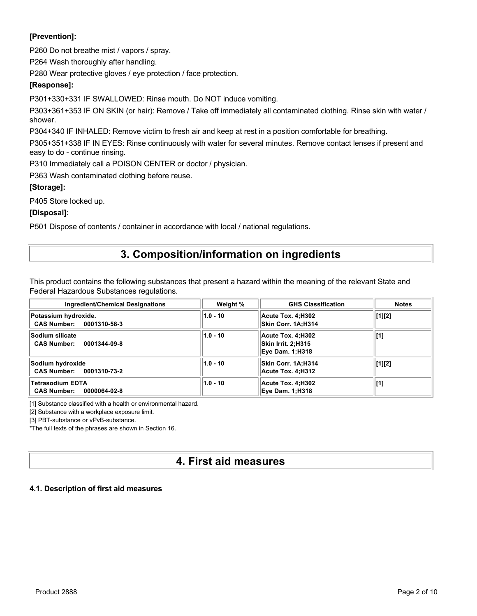### **[Prevention]:**

P260 Do not breathe mist / vapors / spray.

P264 Wash thoroughly after handling.

P280 Wear protective gloves / eye protection / face protection.

### **[Response]:**

P301+330+331 IF SWALLOWED: Rinse mouth. Do NOT induce vomiting.

P303+361+353 IF ON SKIN (or hair): Remove / Take off immediately all contaminated clothing. Rinse skin with water / shower.

P304+340 IF INHALED: Remove victim to fresh air and keep at rest in a position comfortable for breathing.

P305+351+338 IF IN EYES: Rinse continuously with water for several minutes. Remove contact lenses if present and easy to do - continue rinsing.

P310 Immediately call a POISON CENTER or doctor / physician.

P363 Wash contaminated clothing before reuse.

### **[Storage]:**

P405 Store locked up.

### **[Disposal]:**

P501 Dispose of contents / container in accordance with local / national regulations.

## **3. Composition/information on ingredients**

This product contains the following substances that present a hazard within the meaning of the relevant State and Federal Hazardous Substances regulations.

| Ingredient/Chemical Designations                              | Weight %   | <b>GHS Classification</b>                                         | <b>Notes</b> |
|---------------------------------------------------------------|------------|-------------------------------------------------------------------|--------------|
| Potassium hydroxide.<br>CAS Number: 0001310-58-3              | $1.0 - 10$ | Acute Tox. 4:H302<br>Skin Corr. 1A:H314                           | [1][2]       |
| <b>Sodium silicate</b><br><b>CAS Number:</b><br>0001344-09-8  | $1.0 - 10$ | Acute Tox. 4:H302<br>Skin Irrit. 2;H315<br><b>Eye Dam. 1:H318</b> | [1]          |
| Sodium hydroxide<br>CAS Number: 0001310-73-2                  | $1.0 - 10$ | Skin Corr. 1A:H314<br>Acute Tox. 4:H312                           | [1][2]       |
| <b>Tetrasodium EDTA</b><br><b>CAS Number:</b><br>0000064-02-8 | $1.0 - 10$ | Acute Tox. 4:H302<br><b>Eye Dam. 1;H318</b>                       | [1]          |

[1] Substance classified with a health or environmental hazard.

[2] Substance with a workplace exposure limit.

[3] PBT-substance or vPvB-substance.

\*The full texts of the phrases are shown in Section 16.

## **4. First aid measures**

#### **4.1. Description of first aid measures**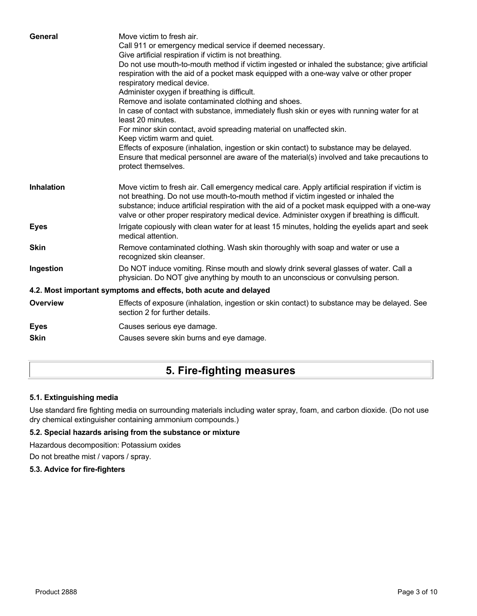| General           | Move victim to fresh air.<br>Call 911 or emergency medical service if deemed necessary.<br>Give artificial respiration if victim is not breathing.                                                                                                                                                                                                                                        |
|-------------------|-------------------------------------------------------------------------------------------------------------------------------------------------------------------------------------------------------------------------------------------------------------------------------------------------------------------------------------------------------------------------------------------|
|                   | Do not use mouth-to-mouth method if victim ingested or inhaled the substance; give artificial<br>respiration with the aid of a pocket mask equipped with a one-way valve or other proper<br>respiratory medical device.                                                                                                                                                                   |
|                   | Administer oxygen if breathing is difficult.                                                                                                                                                                                                                                                                                                                                              |
|                   | Remove and isolate contaminated clothing and shoes.                                                                                                                                                                                                                                                                                                                                       |
|                   | In case of contact with substance, immediately flush skin or eyes with running water for at<br>least 20 minutes.                                                                                                                                                                                                                                                                          |
|                   | For minor skin contact, avoid spreading material on unaffected skin.                                                                                                                                                                                                                                                                                                                      |
|                   | Keep victim warm and quiet.                                                                                                                                                                                                                                                                                                                                                               |
|                   | Effects of exposure (inhalation, ingestion or skin contact) to substance may be delayed.<br>Ensure that medical personnel are aware of the material(s) involved and take precautions to<br>protect themselves.                                                                                                                                                                            |
| <b>Inhalation</b> | Move victim to fresh air. Call emergency medical care. Apply artificial respiration if victim is<br>not breathing. Do not use mouth-to-mouth method if victim ingested or inhaled the<br>substance; induce artificial respiration with the aid of a pocket mask equipped with a one-way<br>valve or other proper respiratory medical device. Administer oxygen if breathing is difficult. |
| <b>Eyes</b>       | Irrigate copiously with clean water for at least 15 minutes, holding the eyelids apart and seek<br>medical attention.                                                                                                                                                                                                                                                                     |
| <b>Skin</b>       | Remove contaminated clothing. Wash skin thoroughly with soap and water or use a<br>recognized skin cleanser.                                                                                                                                                                                                                                                                              |
| Ingestion         | Do NOT induce vomiting. Rinse mouth and slowly drink several glasses of water. Call a<br>physician. Do NOT give anything by mouth to an unconscious or convulsing person.                                                                                                                                                                                                                 |
|                   | 4.2. Most important symptoms and effects, both acute and delayed                                                                                                                                                                                                                                                                                                                          |
| <b>Overview</b>   | Effects of exposure (inhalation, ingestion or skin contact) to substance may be delayed. See<br>section 2 for further details.                                                                                                                                                                                                                                                            |
| <b>Eyes</b>       | Causes serious eye damage.                                                                                                                                                                                                                                                                                                                                                                |
| <b>Skin</b>       | Causes severe skin burns and eye damage.                                                                                                                                                                                                                                                                                                                                                  |
|                   |                                                                                                                                                                                                                                                                                                                                                                                           |

# **5. Fire-fighting measures**

### **5.1. Extinguishing media**

Use standard fire fighting media on surrounding materials including water spray, foam, and carbon dioxide. (Do not use dry chemical extinguisher containing ammonium compounds.)

### **5.2. Special hazards arising from the substance or mixture**

Hazardous decomposition: Potassium oxides

Do not breathe mist / vapors / spray.

### **5.3. Advice for fire-fighters**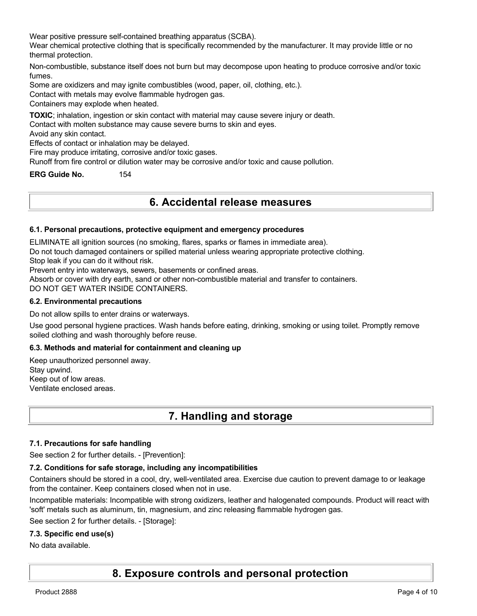Wear positive pressure self-contained breathing apparatus (SCBA).

Wear chemical protective clothing that is specifically recommended by the manufacturer. It may provide little or no thermal protection.

Non-combustible, substance itself does not burn but may decompose upon heating to produce corrosive and/or toxic fumes.

Some are oxidizers and may ignite combustibles (wood, paper, oil, clothing, etc.).

Contact with metals may evolve flammable hydrogen gas.

Containers may explode when heated.

**TOXIC**; inhalation, ingestion or skin contact with material may cause severe injury or death.

Contact with molten substance may cause severe burns to skin and eyes.

Avoid any skin contact.

Effects of contact or inhalation may be delayed.

Fire may produce irritating, corrosive and/or toxic gases.

Runoff from fire control or dilution water may be corrosive and/or toxic and cause pollution.

**ERG Guide No.** 154

## **6. Accidental release measures**

#### **6.1. Personal precautions, protective equipment and emergency procedures**

ELIMINATE all ignition sources (no smoking, flares, sparks or flames in immediate area).

Do not touch damaged containers or spilled material unless wearing appropriate protective clothing.

Stop leak if you can do it without risk.

Prevent entry into waterways, sewers, basements or confined areas.

Absorb or cover with dry earth, sand or other non-combustible material and transfer to containers.

DO NOT GET WATER INSIDE CONTAINERS.

#### **6.2. Environmental precautions**

Do not allow spills to enter drains or waterways.

Use good personal hygiene practices. Wash hands before eating, drinking, smoking or using toilet. Promptly remove soiled clothing and wash thoroughly before reuse.

#### **6.3. Methods and material for containment and cleaning up**

Keep unauthorized personnel away. Stay upwind. Keep out of low areas. Ventilate enclosed areas.

## **7. Handling and storage**

#### **7.1. Precautions for safe handling**

See section 2 for further details. - [Prevention]:

#### **7.2. Conditions for safe storage, including any incompatibilities**

Containers should be stored in a cool, dry, well-ventilated area. Exercise due caution to prevent damage to or leakage from the container. Keep containers closed when not in use.

Incompatible materials: Incompatible with strong oxidizers, leather and halogenated compounds. Product will react with 'soft' metals such as aluminum, tin, magnesium, and zinc releasing flammable hydrogen gas.

See section 2 for further details. - [Storage]:

#### **7.3. Specific end use(s)**

No data available.

## **8. Exposure controls and personal protection**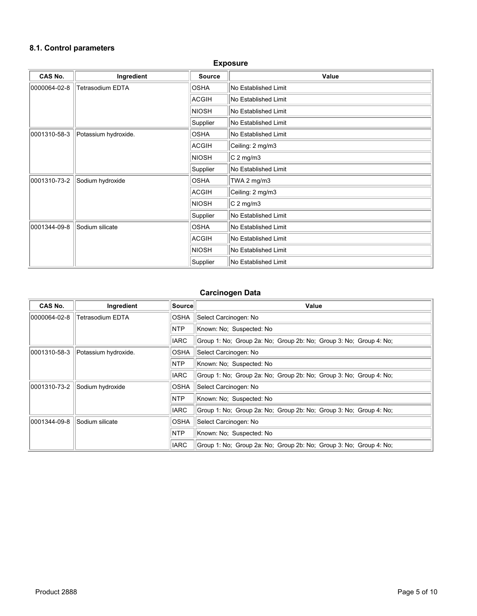#### **8.1. Control parameters**

## **Exposure CAS No. Ingredient Source Value** 0000064-02-8 Tetrasodium EDTA  $\parallel$ OSHA  $\parallel$ No Established Limit  $ACGH$   $No$  Established Limit  $\vert$ NIOSH  $\vert$ No Established Limit  $\vert$ Supplier  $\vert$  No Established Limit 0001310-58-3 Potassium hydroxide. COSHA No Established Limit  $|ACGH|$   $|Ceiling: 2 mg/m3$  $\vert$ NIOSH  $\vert$ C 2 mg/m3 Supplier  $\|$ No Established Limit  $\vert$ 0001310-73-2  $\vert$ Sodium hydroxide  $\vert$ OSHA  $\vert$ TWA 2 mg/m3  $ACGH$   $Ceiling: 2 mg/m3$  $\vert$ NIOSH  $\vert$ C 2 mg/m3  $\vert$ Supplier  $\vert$  No Established Limit 0001344-09-8 Sodium silicate COSHA No Established Limit  $|$ ACGIH  $|$ No Established Limit  $\vert$ NIOSH  $\vert$ No Established Limit  $\vert$ Supplier  $\vert$  No Established Limit

#### **Carcinogen Data**

| CAS No.      | Ingredient              | Source      | Value                                                              |
|--------------|-------------------------|-------------|--------------------------------------------------------------------|
| 0000064-02-8 | <b>Tetrasodium EDTA</b> | OSHA        | Select Carcinogen: No                                              |
|              |                         | <b>NTP</b>  | Known: No: Suspected: No                                           |
|              |                         | <b>IARC</b> | Group 1: No: Group 2a: No: Group 2b: No: Group 3: No: Group 4: No: |
| 0001310-58-3 | Potassium hydroxide.    | OSHA        | Select Carcinogen: No                                              |
|              |                         | <b>NTP</b>  | Known: No: Suspected: No                                           |
|              |                         | <b>IARC</b> | Group 1: No; Group 2a: No; Group 2b: No; Group 3: No; Group 4: No; |
| 0001310-73-2 | Sodium hydroxide        | OSHA        | Select Carcinogen: No                                              |
|              |                         | <b>NTP</b>  | Known: No: Suspected: No                                           |
|              |                         | <b>IARC</b> | Group 1: No: Group 2a: No: Group 2b: No: Group 3: No: Group 4: No: |
| 0001344-09-8 | Sodium silicate         | OSHA        | Select Carcinogen: No                                              |
|              |                         | NTP         | Known: No; Suspected: No                                           |
|              |                         | <b>IARC</b> | Group 1: No: Group 2a: No: Group 2b: No: Group 3: No: Group 4: No: |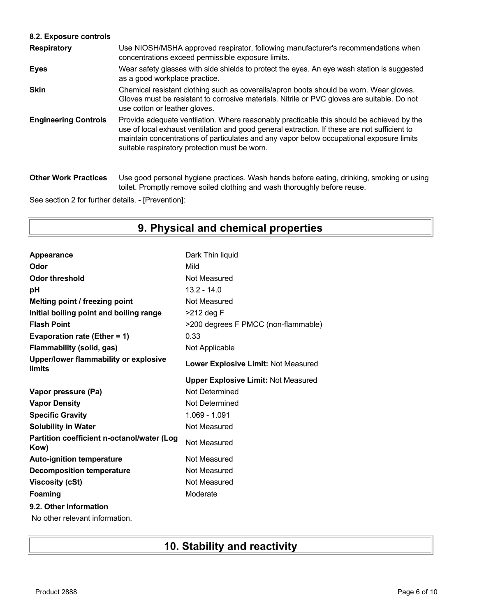### **8.2. Exposure controls**

| <b>Respiratory</b>          | Use NIOSH/MSHA approved respirator, following manufacturer's recommendations when<br>concentrations exceed permissible exposure limits.                                                                                                                                                                                                |
|-----------------------------|----------------------------------------------------------------------------------------------------------------------------------------------------------------------------------------------------------------------------------------------------------------------------------------------------------------------------------------|
| <b>Eyes</b>                 | Wear safety glasses with side shields to protect the eyes. An eye wash station is suggested<br>as a good workplace practice.                                                                                                                                                                                                           |
| <b>Skin</b>                 | Chemical resistant clothing such as coveralls/apron boots should be worn. Wear gloves.<br>Gloves must be resistant to corrosive materials. Nitrile or PVC gloves are suitable. Do not<br>use cotton or leather gloves.                                                                                                                 |
| <b>Engineering Controls</b> | Provide adequate ventilation. Where reasonably practicable this should be achieved by the<br>use of local exhaust ventilation and good general extraction. If these are not sufficient to<br>maintain concentrations of particulates and any vapor below occupational exposure limits<br>suitable respiratory protection must be worn. |
| <b>Other Work Practices</b> | Use good personal hygiene practices. Wash hands before eating, drinking, smoking or using<br>toilet. Promptly remove soiled clothing and wash thoroughly before reuse.                                                                                                                                                                 |

See section 2 for further details. - [Prevention]:

# **9. Physical and chemical properties**

| Appearance                                         | Dark Thin liquid                           |
|----------------------------------------------------|--------------------------------------------|
| Odor                                               | Mild                                       |
| <b>Odor threshold</b>                              | Not Measured                               |
| рH                                                 | $13.2 - 14.0$                              |
| Melting point / freezing point                     | Not Measured                               |
| Initial boiling point and boiling range            | $>212$ deg F                               |
| <b>Flash Point</b>                                 | >200 degrees F PMCC (non-flammable)        |
| Evaporation rate (Ether = 1)                       | 0.33                                       |
| <b>Flammability (solid, gas)</b>                   | Not Applicable                             |
| Upper/lower flammability or explosive<br>limits    | Lower Explosive Limit: Not Measured        |
|                                                    | <b>Upper Explosive Limit: Not Measured</b> |
| Vapor pressure (Pa)                                | Not Determined                             |
| <b>Vapor Density</b>                               | Not Determined                             |
| <b>Specific Gravity</b>                            | 1.069 - 1.091                              |
| <b>Solubility in Water</b>                         | Not Measured                               |
| Partition coefficient n-octanol/water (Log<br>Kow) | Not Measured                               |
| <b>Auto-ignition temperature</b>                   | Not Measured                               |
| <b>Decomposition temperature</b>                   | Not Measured                               |
| <b>Viscosity (cSt)</b>                             | Not Measured                               |
| <b>Foaming</b>                                     | Moderate                                   |
|                                                    |                                            |
| 9.2. Other information                             |                                            |

# **10. Stability and reactivity**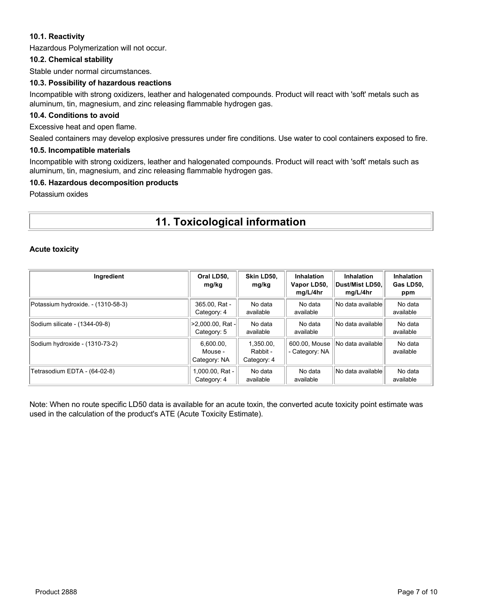#### **10.1. Reactivity**

Hazardous Polymerization will not occur.

#### **10.2. Chemical stability**

Stable under normal circumstances.

#### **10.3. Possibility of hazardous reactions**

Incompatible with strong oxidizers, leather and halogenated compounds. Product will react with 'soft' metals such as aluminum, tin, magnesium, and zinc releasing flammable hydrogen gas.

#### **10.4. Conditions to avoid**

Excessive heat and open flame.

Sealed containers may develop explosive pressures under fire conditions. Use water to cool containers exposed to fire.

#### **10.5. Incompatible materials**

Incompatible with strong oxidizers, leather and halogenated compounds. Product will react with 'soft' metals such as aluminum, tin, magnesium, and zinc releasing flammable hydrogen gas.

#### **10.6. Hazardous decomposition products**

Potassium oxides

# **11. Toxicological information**

#### **Acute toxicity**

| Ingredient                         | Oral LD50,<br>mg/kg                  | Skin LD50,<br>mg/kg                  | Inhalation<br>Vapor LD50,<br>mg/L/4hr | <b>Inhalation</b><br>∣Dust/Mist LD50.∣<br>mg/L/4hr | Inhalation<br>Gas LD50,<br>ppm |
|------------------------------------|--------------------------------------|--------------------------------------|---------------------------------------|----------------------------------------------------|--------------------------------|
| Potassium hydroxide. - (1310-58-3) | 365.00, Rat -<br>Category: 4         | No data<br>available                 | No data<br>available                  | No data available                                  | No data<br>available           |
| Sodium silicate - (1344-09-8)      | >2,000.00, Rat -<br>Category: 5      | No data<br>available                 | No data<br>available                  | No data available                                  | No data<br>available           |
| Sodium hydroxide - (1310-73-2)     | 6,600.00,<br>Mouse -<br>Category: NA | 1.350.00.<br>Rabbit -<br>Category: 4 | 600.00, Mouse<br>- Category: NA       | No data availablel                                 | No data<br>available           |
| Tetrasodium EDTA - (64-02-8)       | .000.00, Rat -<br>Category: 4        | No data<br>available                 | No data<br>available                  | No data available                                  | No data<br>available           |

Note: When no route specific LD50 data is available for an acute toxin, the converted acute toxicity point estimate was used in the calculation of the product's ATE (Acute Toxicity Estimate).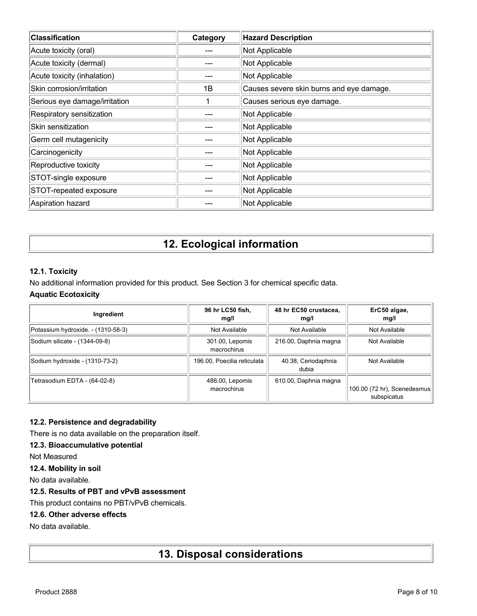| <b>Classification</b>         | Category | <b>Hazard Description</b>                |
|-------------------------------|----------|------------------------------------------|
| Acute toxicity (oral)         |          | Not Applicable                           |
| Acute toxicity (dermal)       |          | Not Applicable                           |
| Acute toxicity (inhalation)   |          | Not Applicable                           |
| Skin corrosion/irritation     | 1B       | Causes severe skin burns and eye damage. |
| Serious eye damage/irritation |          | Causes serious eye damage.               |
| Respiratory sensitization     |          | Not Applicable                           |
| Skin sensitization            |          | Not Applicable                           |
| Germ cell mutagenicity        |          | Not Applicable                           |
| Carcinogenicity               |          | Not Applicable                           |
| Reproductive toxicity         |          | Not Applicable                           |
| STOT-single exposure          |          | Not Applicable                           |
| STOT-repeated exposure        |          | Not Applicable                           |
| Aspiration hazard             |          | Not Applicable                           |

# **12. Ecological information**

### **12.1. Toxicity**

No additional information provided for this product. See Section 3 for chemical specific data. **Aquatic Ecotoxicity**

| Ingredient                         | 96 hr LC50 fish,<br>mg/l       | 48 hr EC50 crustacea,<br>mg/l | ErC50 algae,<br>mg/l                       |
|------------------------------------|--------------------------------|-------------------------------|--------------------------------------------|
| Potassium hydroxide. - (1310-58-3) | Not Available                  | Not Available                 | Not Available                              |
| Sodium silicate - (1344-09-8)      | 301.00, Lepomis<br>macrochirus | 216.00, Daphnia magna         | Not Available                              |
| Sodium hydroxide - (1310-73-2)     | 196.00, Poecilia reticulata    | 40.38, Ceriodaphnia<br>dubia  | Not Available                              |
| Tetrasodium EDTA - (64-02-8)       | 486.00, Lepomis<br>macrochirus | 610.00, Daphnia magna         | 100.00 (72 hr), Scenedesmus<br>subspicatus |

### **12.2. Persistence and degradability**

There is no data available on the preparation itself.

### **12.3. Bioaccumulative potential**

Not Measured

#### **12.4. Mobility in soil**

No data available.

### **12.5. Results of PBT and vPvB assessment**

This product contains no PBT/vPvB chemicals.

### **12.6. Other adverse effects**

No data available.

# **13. Disposal considerations**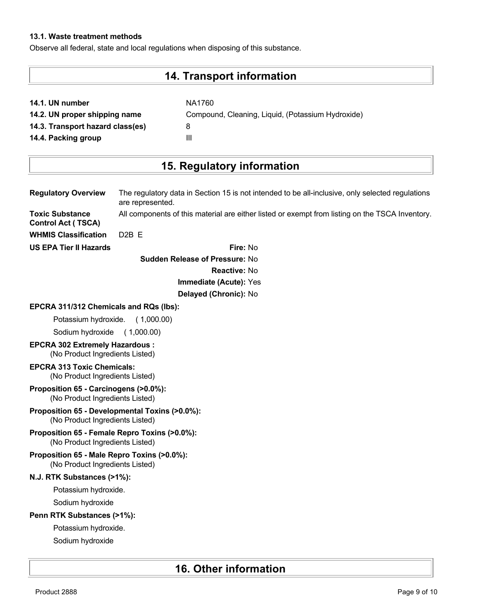### **13.1. Waste treatment methods**

Observe all federal, state and local regulations when disposing of this substance.

# **14. Transport information**

**NA1760** 

|  |  |  | 14.1. UN number |
|--|--|--|-----------------|
|--|--|--|-----------------|

**14.3. Transport hazard class(es)** 8

**14.2. UN proper shipping name** Compound, Cleaning, Liquid, (Potassium Hydroxide) **14.4. Packing group III** 

# **15. Regulatory information**

| <b>Regulatory Overview</b>                                                        | The regulatory data in Section 15 is not intended to be all-inclusive, only selected regulations<br>are represented. |
|-----------------------------------------------------------------------------------|----------------------------------------------------------------------------------------------------------------------|
| <b>Toxic Substance</b><br><b>Control Act (TSCA)</b>                               | All components of this material are either listed or exempt from listing on the TSCA Inventory.                      |
| <b>WHMIS Classification</b>                                                       | D <sub>2</sub> B <sub>E</sub>                                                                                        |
| <b>US EPA Tier II Hazards</b>                                                     | Fire: No                                                                                                             |
|                                                                                   | <b>Sudden Release of Pressure: No</b>                                                                                |
|                                                                                   | <b>Reactive: No</b>                                                                                                  |
|                                                                                   | Immediate (Acute): Yes                                                                                               |
|                                                                                   | Delayed (Chronic): No                                                                                                |
| EPCRA 311/312 Chemicals and RQs (lbs):                                            |                                                                                                                      |
| Potassium hydroxide.                                                              | (1,000.00)                                                                                                           |
| Sodium hydroxide                                                                  | (1,000.00)                                                                                                           |
| <b>EPCRA 302 Extremely Hazardous:</b><br>(No Product Ingredients Listed)          |                                                                                                                      |
| <b>EPCRA 313 Toxic Chemicals:</b><br>(No Product Ingredients Listed)              |                                                                                                                      |
| Proposition 65 - Carcinogens (>0.0%):<br>(No Product Ingredients Listed)          |                                                                                                                      |
| Proposition 65 - Developmental Toxins (>0.0%):<br>(No Product Ingredients Listed) |                                                                                                                      |
| Proposition 65 - Female Repro Toxins (>0.0%):<br>(No Product Ingredients Listed)  |                                                                                                                      |
| Proposition 65 - Male Repro Toxins (>0.0%):<br>(No Product Ingredients Listed)    |                                                                                                                      |
| N.J. RTK Substances (>1%):                                                        |                                                                                                                      |
| Potassium hydroxide.                                                              |                                                                                                                      |
| Sodium hydroxide                                                                  |                                                                                                                      |
| Penn RTK Substances (>1%):                                                        |                                                                                                                      |
| Potassium hydroxide.                                                              |                                                                                                                      |
| Sodium hydroxide                                                                  |                                                                                                                      |